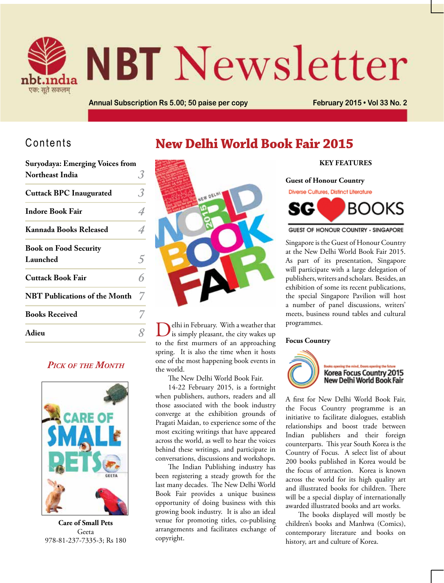

# **NBT** Newsletter

**New Delhi World Book Fair 2015**

**Annual Subscription Rs 5.00; 50 paise per copy February 2015 • Vol 33 No. 2**

# Contents

| <b>Suryodaya: Emerging Voices from</b> |   |
|----------------------------------------|---|
| Northeast India                        |   |
| <b>Cuttack BPC Inaugurated</b>         | 3 |
| <b>Indore Book Fair</b>                |   |
| <b>Kannada Books Released</b>          |   |
| <b>Book on Food Security</b>           |   |
| Launched                               | 5 |
| <b>Cuttack Book Fair</b>               |   |
| <b>NBT Publications of the Month</b>   | 7 |
| <b>Books Received</b>                  |   |
| Adieu                                  |   |

# *Pick of the Month*



**Care of Small Pets** Geeta 978-81-237-7335-3; Rs 180



Adieu **8** Delhi in February. With a weather that **Adieu 8** B is simply pleasant, the city wakes up to the first murmers of an approaching spring. It is also the time when it hosts one of the most happening book events in the world.

The New Delhi World Book Fair.

14-22 February 2015, is a fortnight when publishers, authors, readers and all those associated with the book industry converge at the exhibition grounds of Pragati Maidan, to experience some of the most exciting writings that have appeared across the world, as well to hear the voices behind these writings, and participate in conversations, discussions and workshops.

The Indian Publishing industry has been registering a steady growth for the last many decades. The New Delhi World Book Fair provides a unique business opportunity of doing business with this growing book industry. It is also an ideal venue for promoting titles, co-publising arrangements and facilitates exchange of copyright.

#### **Key Features**

**Guest of Honour Country**

Diverse Cultures, Distinct Literature



**GUEST OF HONOUR COUNTRY - SINGAPORE** 

Singapore is the Guest of Honour Country at the New Delhi World Book Fair 2015. As part of its presentation, Singapore will participate with a large delegation of publishers, writers and scholars. Besides, an exhibition of some its recent publications, the special Singapore Pavilion will host a number of panel discussions, writers' meets, business round tables and cultural programmes.

#### **Focus Country**



A first for New Delhi World Book Fair, the Focus Country programme is an initiative to facilitate dialogues, establish relationships and boost trade between Indian publishers and their foreign counterparts. This year South Korea is the Country of Focus. A select list of about 200 books published in Korea would be the focus of attraction. Korea is known across the world for its high quality art and illustrated books for children. There will be a special display of internationally awarded illustrated books and art works.

The books displayed will mostly be children's books and Manhwa (Comics), contemporary literature and books on history, art and culture of Korea.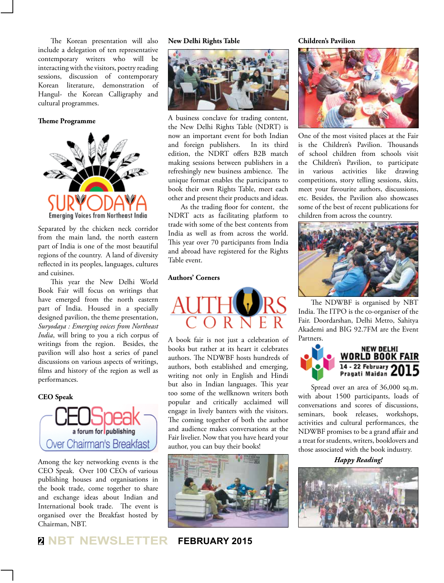The Korean presentation will also include a delegation of ten representative contemporary writers who will be interacting with the visitors, poetry reading sessions, discussion of contemporary Korean literature, demonstration of Hangul- the Korean Calligraphy and cultural programmes.

#### **Theme Programme**



Separated by the chicken neck corridor from the main land, the north eastern part of India is one of the most beautiful regions of the country. A land of diversity reflected in its peoples, languages, cultures and cuisines.

This year the New Delhi World Book Fair will focus on writings that have emerged from the north eastern part of India. Housed in a specially designed pavilion, the theme presentation, *Suryodaya : Emerging voices from Northeast India*, will bring to you a rich corpus of writings from the region. Besides, the pavilion will also host a series of panel discussions on various aspects of writings, films and history of the region as well as performances.

#### **CEO Speak**



Among the key networking events is the CEO Speak. Over 100 CEOs of various publishing houses and organisations in the book trade, come together to share and exchange ideas about Indian and International book trade. The event is organised over the Breakfast hosted by Chairman, NBT.

**New Delhi Rights Table Children's Pavilion**



A business conclave for trading content, the New Delhi Rights Table (NDRT) is now an important event for both Indian and foreign publishers. In its third edition, the NDRT offers B2B match making sessions between publishers in a refreshingly new business ambience. The unique format enables the participants to book their own Rights Table, meet each other and present their products and ideas.

As the trading floor for content, the NDRT acts as facilitating platform to trade with some of the best contents from India as well as from across the world. This year over 70 participants from India and abroad have registered for the Rights Table event.

#### **Authors' Corners**



A book fair is not just a celebration of books but rather at its heart it celebrates authors. The NDWBF hosts hundreds of authors, both established and emerging, writing not only in English and Hindi but also in Indian languages. This year too some of the wellknown writers both popular and critically acclaimed will engage in lively banters with the visitors. The coming together of both the author and audience makes conversations at the Fair livelier. Now that you have heard your author, you can buy their books!



**<sup>2</sup> NBT NEWSLETTER FEBRUARY 2015**



One of the most visited places at the Fair is the Children's Pavilion. Thousands of school children from schools visit the Children's Pavilion, to participate in various activities like drawing competitions, story telling sessions, skits, meet your favourite authors, discussions, etc. Besides, the Pavilion also showcases some of the best of recent publications for children from across the country.



The NDWBF is organised by NBT India. The ITPO is the co-organiser of the Fair. Doordarshan, Delhi Metro, Sahitya Akademi and BIG 92.7FM are the Event Partners.



Spread over an area of 36,000 sq.m. with about 1500 participants, loads of conversations and scores of discussions, seminars, book releases, workshops, activities and cultural performances, the NDWBF promises to be a grand affair and a treat for students, writers, booklovers and those associated with the book industry.

*Happy Reading!*

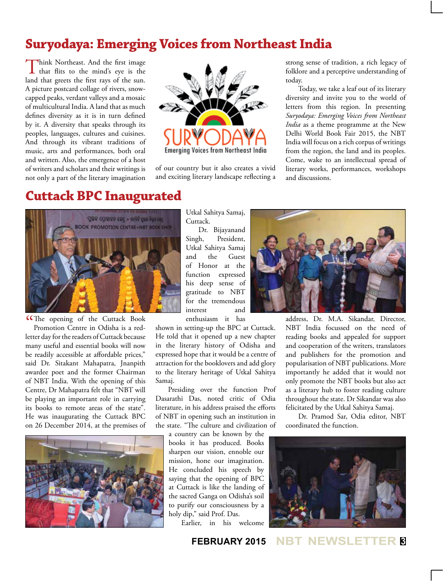# **Suryodaya: Emerging Voices from Northeast India**

Think Northeast. And the first image<br>that flits to the mind's eye is the land that greets the first rays of the sun. A picture postcard collage of rivers, snowcapped peaks, verdant valleys and a mosaic of multicultural India. A land that as much defines diversity as it is in turn defined by it. A diversity that speaks through its peoples, languages, cultures and cuisines. And through its vibrant traditions of music, arts and performances, both oral and written. Also, the emergence of a host of writers and scholars and their writings is not only a part of the literary imagination



of our country but it also creates a vivid and exciting literary landscape reflecting a

strong sense of tradition, a rich legacy of folklore and a perceptive understanding of today.

Today, we take a leaf out of its literary diversity and invite you to the world of letters from this region. In presenting *Suryodaya: Emerging Voices from Northeast India* as a theme programme at the New Delhi World Book Fair 2015, the NBT India will focus on a rich corpus of writings from the region, the land and its peoples. Come, wake to an intellectual spread of literary works, performances, workshops and discussions.

# **Cuttack BPC Inaugurated**



CThe opening of the Cuttack Book<br>Promotion Centre in Odisha is a red-Promotion Centre in Odisha is a redletter day for the readers of Cuttack because many useful and essential books will now be readily accessible at affordable prices," said Dr. Sitakant Mahapatra, Jnanpith awardee poet and the former Chairman of NBT India. With the opening of this Centre, Dr Mahapatra felt that "NBT will be playing an important role in carrying its books to remote areas of the state". He was inaugurating the Cuttack BPC on 26 December 2014, at the premises of



Utkal Sahitya Samaj, Cuttack.

Dr. Bijayanand Singh, President, Utkal Sahitya Samaj and the Guest of Honor at the function expressed his deep sense of gratitude to NBT for the tremendous interest and

enthusiasm it has

shown in setting-up the BPC at Cuttack. He told that it opened up a new chapter in the literary history of Odisha and expressed hope that it would be a centre of attraction for the booklovers and add glory to the literary heritage of Utkal Sahitya Samaj.

Presiding over the function Prof Dasarathi Das, noted critic of Odia literature, in his address praised the efforts of NBT in opening such an institution in the state. "The culture and civilization of

a country can be known by the books it has produced. Books sharpen our vision, ennoble our mission, hone our imagination. He concluded his speech by saying that the opening of BPC at Cuttack is like the landing of the sacred Ganga on Odisha's soil to purify our consciousness by a holy dip," said Prof. Das.

Earlier, in his welcome



address, Dr. M.A. Sikandar, Director, NBT India focussed on the need of reading books and appealed for support and cooperation of the writers, translators and publishers for the promotion and popularisation of NBT publications. More importantly he added that it would not only promote the NBT books but also act as a literary hub to foster reading culture throughout the state. Dr Sikandar was also felicitated by the Utkal Sahitya Samaj.

Dr. Pramod Sar, Odia editor, NBT coordinated the function.



**FEBRUARY 2015 NBT NEWSL**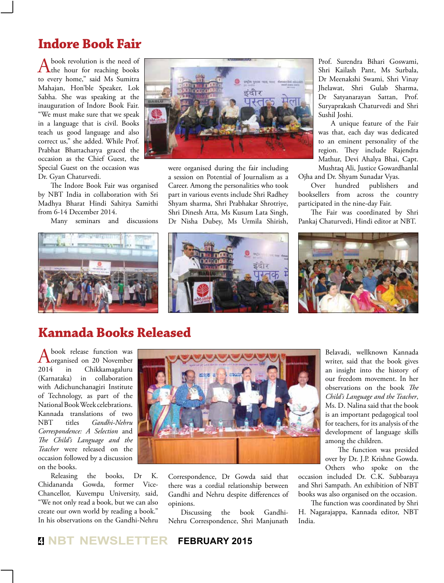# **Indore Book Fair**

A book revolution is the need of<br>the hour for reaching books to every home," said Ms Sumitra Mahajan, Hon'ble Speaker, Lok Sabha. She was speaking at the inauguration of Indore Book Fair. "We must make sure that we speak in a language that is civil. Books teach us good language and also correct us," she added. While Prof. Prabhat Bhattacharya graced the occasion as the Chief Guest, the Special Guest on the occasion was Dr. Gyan Chaturvedi.

The Indore Book Fair was organised by NBT India in collaboration with Sri Madhya Bharat Hindi Sahitya Samithi from 6-14 December 2014.

Many seminars and discussions



were organised during the fair including a session on Potential of Journalism as a Career. Among the personalities who took part in various events include Shri Radhey Shyam sharma, Shri Prabhakar Shrotriye, Shri Dinesh Atta, Ms Kusum Lata Singh, Dr Nisha Dubey, Ms Urmila Shirish,

Prof. Surendra Bihari Goswami, Shri Kailash Pant, Ms Surbala, Dr Meenakshi Swami, Shri Vinay Jhelawat, Shri Gulab Sharma, Dr Satyanarayan Sattan, Prof. Suryaprakash Chaturvedi and Shri Sushil Joshi.

A unique feature of the Fair was that, each day was dedicated to an eminent personality of the region. They include Rajendra Mathur, Devi Ahalya Bhai, Capt. Mushtaq Ali, Justice Gowardhanlal Ojha and Dr. Shyam Sunadar Vyas.

Over hundred publishers and booksellers from across the country participated in the nine-day Fair.

The Fair was coordinated by Shri Pankaj Chaturvedi, Hindi editor at NBT.





A book release function was<br>
organised on 20 November 2014 in Chikkamagaluru (Karnataka) in collaboration with Adichunchanagiri Institute of Technology, as part of the National Book Week celebrations. Kannada translations of two NBT titles *Gandhi-Nehru Correspondence: A Selection* and *The Child's Language and the Teacher* were released on the occasion followed by a discussion on the books.

Releasing the books, Dr K.<br>dananda Gowda, former Vice-Chidananda Gowda, former Vice-Chancellor, Kuvempu University, said, "We not only read a book, but we can also create our own world by reading a book." In his observations on the Gandhi-Nehru



Correspondence, Dr Gowda said that there was a cordial relationship between Gandhi and Nehru despite differences of opinions.

Discussing the book Gandhi-Nehru Correspondence, Shri Manjunath

Belavadi, wellknown Kannada writer, said that the book gives an insight into the history of our freedom movement. In her observations on the book *The Child's Language and the Teacher*, Ms. D. Nalina said that the book is an important pedagogical tool for teachers, for its analysis of the development of language skills among the children.

The function was presided over by Dr. J.P. Krishne Gowda. Others who spoke on the

occasion included Dr. C.K. Subbaraya and Shri Sampath. An exhibition of NBT books was also organised on the occasion.

The function was coordinated by Shri H. Nagarajappa, Kannada editor, NBT India.

# **<sup>4</sup> NBT NEWSLETTER FEBRUARY 2015**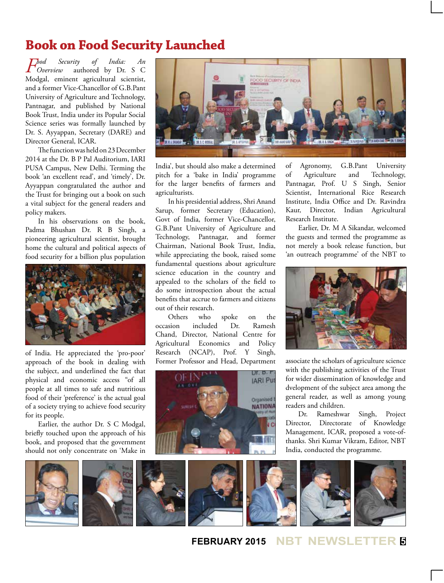# **Book on Food Security Launched**

*Food Security of India: An*  authored by Dr. S C Modgal, eminent agricultural scientist, and a former Vice-Chancellor of G.B.Pant University of Agriculture and Technology, Pantnagar, and published by National Book Trust, India under its Popular Social Science series was formally launched by Dr. S. Ayyappan, Secretary (DARE) and Director General, ICAR.

The function was held on 23 December 2014 at the Dr. B P Pal Auditorium, IARI PUSA Campus, New Delhi. Terming the book 'an excellent read', and 'timely', Dr. Ayyappan congratulated the author and the Trust for bringing out a book on such a vital subject for the general readers and policy makers.

In his observations on the book, Padma Bhushan Dr. R B Singh, a pioneering agricultural scientist, brought home the cultural and political aspects of food security for a billion plus population



of India. He appreciated the 'pro-poor' approach of the book in dealing with the subject, and underlined the fact that physical and economic access "of all people at all times to safe and nutritious food of their 'preference' is the actual goal of a society trying to achieve food security for its people.

Earlier, the author Dr. S C Modgal, briefly touched upon the approach of his book, and proposed that the government should not only concentrate on 'Make in



India', but should also make a determined pitch for a 'bake in India' programme for the larger benefits of farmers and agriculturists.

In his presidential address, Shri Anand Sarup, former Secretary (Education), Govt of India, former Vice-Chancellor, G.B.Pant University of Agriculture and Technology, Pantnagar, and former Chairman, National Book Trust, India, while appreciating the book, raised some fundamental questions about agriculture science education in the country and appealed to the scholars of the field to do some introspection about the actual benefits that accrue to farmers and citizens out of their research.

Others who spoke on the<br>sion included Dr Ramesh occasion included Dr. Ramesh Chand, Director, National Centre for Agricultural Economics and Policy Research (NCAP), Prof. Y Singh, Former Professor and Head, Department



of Agronomy, G.B.Pant University of Agriculture and Technology, Pantnagar, Prof. U S Singh, Senior Scientist, International Rice Research Institute, India Office and Dr. Ravindra Kaur, Director, Indian Agricultural Research Institute.

Earlier, Dr. M A Sikandar, welcomed the guests and termed the programme as not merely a book release function, but 'an outreach programme' of the NBT to



associate the scholars of agriculture science with the publishing activities of the Trust for wider dissemination of knowledge and dvelopment of the subject area among the general reader, as well as among young readers and children.

Dr. Rameshwar Singh, Project Director, Directorate of Knowledge Management, ICAR, proposed a vote-ofthanks. Shri Kumar Vikram, Editor, NBT India, conducted the programme.



## **FEBRUARY 2015 NBT NEWSLETTER <sup>5</sup>**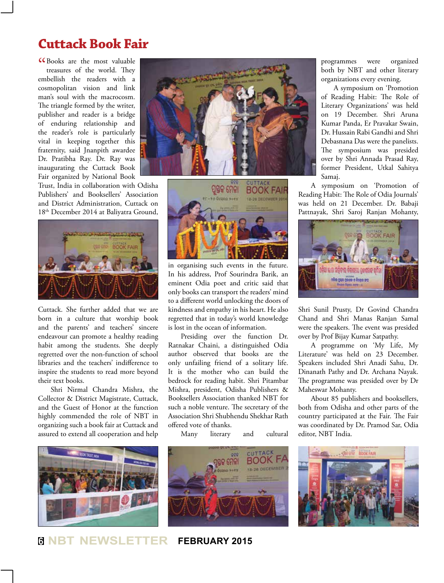# **Cuttack Book Fair**

**"**CBooks are the most valuable treasures of the world. They treasures of the world. They embellish the readers with a cosmopolitan vision and link man's soul with the macrocosm. The triangle formed by the writer, publisher and reader is a bridge of enduring relationship and the reader's role is particularly vital in keeping together this fraternity, said Jnanpith awardee Dr. Pratibha Ray. Dr. Ray was inaugurating the Cuttack Book Fair organized by National Book

Trust, India in collaboration with Odisha Publishers' and Booksellers' Association and District Administration, Cuttack on 18th December 2014 at Baliyatra Ground,



Cuttack. She further added that we are born in a culture that worship book and the parents' and teachers' sincere endeavour can promote a healthy reading habit among the students. She deeply regretted over the non-function of school libraries and the teachers' indifference to inspire the students to read more beyond their text books.

Shri Nirmal Chandra Mishra, the Collector & District Magistrate, Cuttack, and the Guest of Honor at the function highly commended the role of NBT in organizing such a book fair at Cuttack and assured to extend all cooperation and help







in organising such events in the future. In his address, Prof Sourindra Barik, an eminent Odia poet and critic said that only books can transport the readers' mind to a different world unlocking the doors of kindness and empathy in his heart. He also regretted that in today's world knowledge is lost in the ocean of information.

Presiding over the function Dr. Ratnakar Chaini, a distinguished Odia author observed that books are the only unfailing friend of a solitary life. It is the mother who can build the bedrock for reading habit. Shri Pitambar Mishra, president, Odisha Publishers & Booksellers Association thanked NBT for such a noble venture. The secretary of the Association Shri Shubhendu Shekhar Rath offered vote of thanks.

Many literary and cultural



**<sup>6</sup> NBT NEWSLETTER FEBRUARY 2015**

programmes were organized both by NBT and other literary organizations every evening.

A symposium on 'Promotion of Reading Habit: The Role of Literary Organizations' was held on 19 December. Shri Aruna Kumar Panda, Er Pravakar Swain, Dr. Hussain Rabi Gandhi and Shri Debasnana Das were the panelists. The symposium was presided over by Shri Annada Prasad Ray, former President, Utkal Sahitya Samaj.

A symposium on 'Promotion of Reading Habit: The Role of Odia Journals' was held on 21 December. Dr. Babaji Pattnayak, Shri Saroj Ranjan Mohanty,



Shri Sunil Prusty, Dr Govind Chandra Chand and Shri Manas Ranjan Samal were the speakers. The event was presided over by Prof Bijay Kumar Satpathy.

A programme on 'My Life, My Literature' was held on 23 December. Speakers included Shri Anadi Sahu, Dr. Dinanath Pathy and Dr. Archana Nayak. The programme was presided over by Dr Maheswar Mohanty.

About 85 publishers and booksellers, both from Odisha and other parts of the country participated at the Fair. The Fair was coordinated by Dr. Pramod Sar, Odia editor, NBT India.

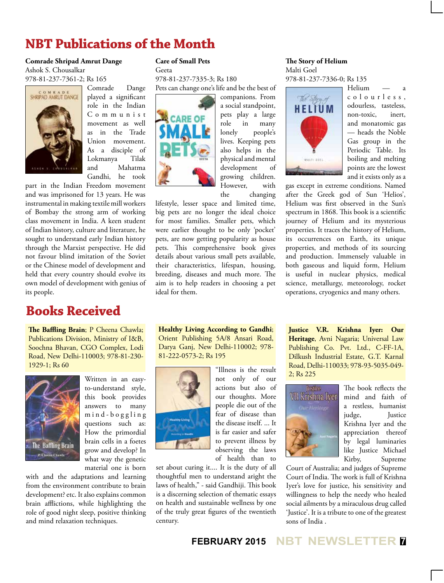# **NBT Publications of the Month**

#### **Comrade Shripad Amrut Dange** Ashok S. Chousalkar

978-81-237-7361-2; Rs 165



Comrade Dange played a significant role in the Indian C o m m u n i s t movement as well as in the Trade Union movement. As a disciple of Lokmanya Tilak and Mahatma Gandhi, he took

part in the Indian Freedom movement and was imprisoned for 13 years. He was instrumental in making textile mill workers of Bombay the strong arm of working class movement in India. A keen student of Indian history, culture and literature, he sought to understand early Indian history through the Marxist perspective. He did not favour blind imitation of the Soviet or the Chinese model of development and held that every country should evolve its own model of development with genius of its people.

# **Books Received**

**The Baffling Brain**; P Cheena Chawla; Publications Division, Ministry of I&B, Soochna Bhavan, CGO Complex, Lodi Road, New Delhi-110003; 978-81-230- 1929-1; Rs 60



Written in an easyto-understand style, this book provides answers to many m i n d - b o g g l i n g questions such as: How the primordial brain cells in a foetes grow and develop? In what way the genetic material one is born

with and the adaptations and learning from the environment contribute to brain development? etc. It also explains common brain afflictions, while highlighting the role of good night sleep, positive thinking and mind relaxation techniques.

#### **Care of Small Pets**

Geeta 978-81-237-7335-3; Rs 180 Pets can change one's life and be the best of



companions. From a social standpoint, pets play a large role in many lonely people's lives. Keeping pets also helps in the physical and mental development of growing children. However, with the changing

lifestyle, lesser space and limited time, big pets are no longer the ideal choice for most families. Smaller pets, which were earlier thought to be only 'pocket' pets, are now getting popularity as house pets. This comprehensive book gives details about various small pets available, their characteristics, lifespan, housing, breeding, diseases and much more. The aim is to help readers in choosing a pet ideal for them.

**Healthy Living According to Gandhi**; Orient Publishing 5A/8 Ansari Road, Darya Ganj, New Delhi-110002; 978- 81-222-0573-2; Rs 195



"Illness is the result not only of our actions but also of our thoughts. More people die out of the fear of disease than the disease itself. ... It is far easier and safer to prevent illness by observing the laws of health than to

set about curing it.... It is the duty of all thoughtful men to understand aright the laws of health," - said Gandhiji. This book is a discerning selection of thematic essays on health and sustainable wellness by one of the truly great figures of the twentieth century.

#### **The Story of Helium** Malti Goel

978-81-237-7336-0; Rs 135



Helium c o l o u r l e s s , odourless, tasteless, non-toxic, inert, and monatomic gas — heads the Noble Gas group in the Periodic Table. Its boiling and melting points are the lowest and it exists only as a

gas except in extreme conditions. Named after the Greek god of Sun 'Helios', Helium was first observed in the Sun's spectrum in 1868. This book is a scientific journey of Helium and its mysterious properties. It traces the history of Helium, its occurrences on Earth, its unique properties, and methods of its sourcing and production. Immensely valuable in both gaseous and liquid form, Helium is useful in nuclear physics, medical science, metallurgy, meteorology, rocket operations, cryogenics and many others.

**Justice V.R. Krishna Iyer: Our Heritage**, Avni Nagaria; Universal Law Publishing Co. Pvt. Ltd., C-FF-1A, Dilkush Industrial Estate, G.T. Karnal Road, Delhi-110033; 978-93-5035-049- 2; Rs 225



The book reflects the mind and faith of a restless, humanist judge, Justice Krishna Iyer and the appreciation thereof by legal luminaries like Justice Michael Kirby, Supreme

Court of Australia; and judges of Supreme Court of India. The work is full of Krishna Iyer's love for justice, his sensitivity and willingness to help the needy who healed social ailments by a miraculous drug called 'Justice'. It is a tribute to one of the greatest sons of India .